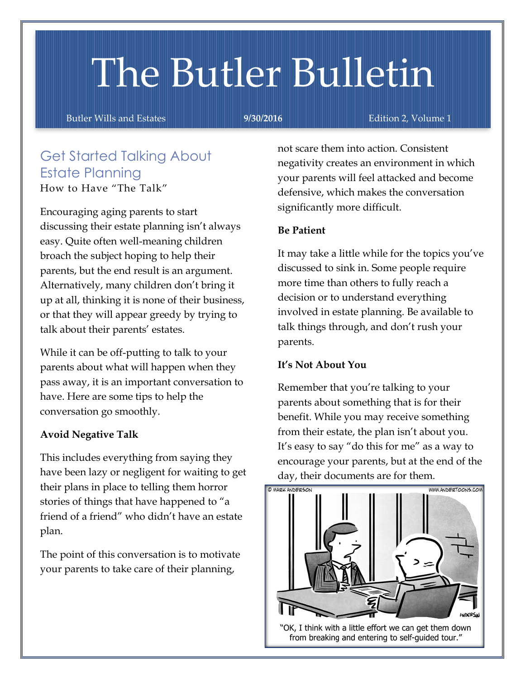# The Butler Bulletin

Butler Wills and Estates **9/30/2016** Edition 2, Volume 1

#### Get Started Talking About Estate Planning How to Have "The Talk"

Encouraging aging parents to start discussing their estate planning isn't always easy. Quite often well-meaning children broach the subject hoping to help their parents, but the end result is an argument. Alternatively, many children don't bring it up at all, thinking it is none of their business, or that they will appear greedy by trying to talk about their parents' estates.

While it can be off-putting to talk to your parents about what will happen when they pass away, it is an important conversation to have. Here are some tips to help the conversation go smoothly.

#### **Avoid Negative Talk**

This includes everything from saying they have been lazy or negligent for waiting to get their plans in place to telling them horror stories of things that have happened to "a friend of a friend" who didn't have an estate plan.

The point of this conversation is to motivate your parents to take care of their planning,

not scare them into action. Consistent negativity creates an environment in which your parents will feel attacked and become defensive, which makes the conversation significantly more difficult.

#### **Be Patient**

It may take a little while for the topics you've discussed to sink in. Some people require more time than others to fully reach a decision or to understand everything involved in estate planning. Be available to talk things through, and don't rush your parents.

#### **It's Not About You**

Remember that you're talking to your parents about something that is for their benefit. While you may receive something from their estate, the plan isn't about you. It's easy to say "do this for me" as a way to encourage your parents, but at the end of the day, their documents are for them.



"OK, I think with a little effort we can get them down from breaking and entering to self-guided tour."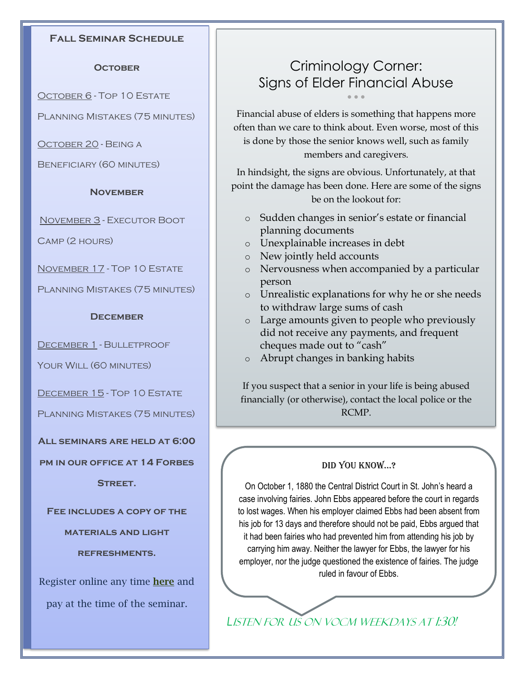#### **Fall Seminar Schedule**

#### **October**

October 6 - Top 10 Estate

Planning Mistakes (75 minutes)

October 20 - Being a

Beneficiary (60 minutes)

#### **November**

November 3 - Executor Boot

Camp (2 hours)

November 17 - Top 10 Estate

Planning Mistakes (75 minutes)

#### **December**

DECEMBER 1 - BULLETPROOF

YOUR WILL (60 MINUTES)

December 15 - Top 10 Estate

Planning Mistakes (75 minutes)

**All seminars are held at 6:00** 

**pm in our office at 14 Forbes Street.** 

**Fee includes a copy of the** 

**materials and light** 

**refreshments.**

Register online any time **[here](http://www.butlerwillsandestates.com/#!seminar-schedule/c1opy)** and pay at the time of the seminar.

### Criminology Corner: Signs of Elder Financial Abuse  $\bullet$   $\bullet$   $\bullet$

Financial abuse of elders is something that happens more often than we care to think about. Even worse, most of this is done by those the senior knows well, such as family members and caregivers.

In hindsight, the signs are obvious. Unfortunately, at that point the damage has been done. Here are some of the signs be on the lookout for:

- o Sudden changes in senior's estate or financial planning documents
- o Unexplainable increases in debt
- o New jointly held accounts
- o Nervousness when accompanied by a particular person
- o Unrealistic explanations for why he or she needs to withdraw large sums of cash
- o Large amounts given to people who previously did not receive any payments, and frequent cheques made out to "cash"
- o Abrupt changes in banking habits

If you suspect that a senior in your life is being abused financially (or otherwise), contact the local police or the RCMP.

#### Did You Know…?

On October 1, 1880 the Central District Court in St. John's heard a case involving fairies. John Ebbs appeared before the court in regards to lost wages. When his employer claimed Ebbs had been absent from his job for 13 days and therefore should not be paid, Ebbs argued that it had been fairies who had prevented him from attending his job by carrying him away. Neither the lawyer for Ebbs, the lawyer for his employer, nor the judge questioned the existence of fairies. The judge ruled in favour of Ebbs.

*L*isten for us on VOCM weekdays at 1:30!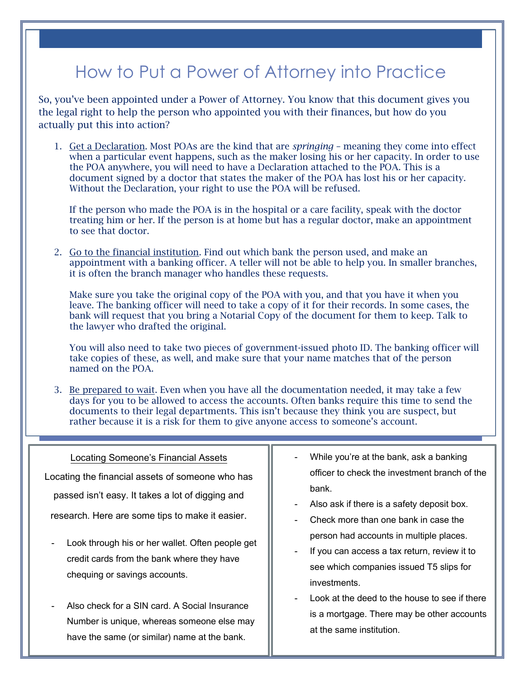## How to Put a Power of Attorney into Practice

So, you've been appointed under a Power of Attorney. You know that this document gives you the legal right to help the person who appointed you with their finances, but how do you actually put this into action?

1. Get a Declaration. Most POAs are the kind that are *springing* – meaning they come into effect when a particular event happens, such as the maker losing his or her capacity. In order to use the POA anywhere, you will need to have a Declaration attached to the POA. This is a document signed by a doctor that states the maker of the POA has lost his or her capacity. Without the Declaration, your right to use the POA will be refused.

If the person who made the POA is in the hospital or a care facility, speak with the doctor treating him or her. If the person is at home but has a regular doctor, make an appointment to see that doctor.

2. Go to the financial institution. Find out which bank the person used, and make an appointment with a banking officer. A teller will not be able to help you. In smaller branches, it is often the branch manager who handles these requests.

Make sure you take the original copy of the POA with you, and that you have it when you leave. The banking officer will need to take a copy of it for their records. In some cases, the bank will request that you bring a Notarial Copy of the document for them to keep. Talk to the lawyer who drafted the original.

You will also need to take two pieces of government-issued photo ID. The banking officer will take copies of these, as well, and make sure that your name matches that of the person named on the POA.

3. Be prepared to wait. Even when you have all the documentation needed, it may take a few days for you to be allowed to access the accounts. Often banks require this time to send the documents to their legal departments. This isn't because they think you are suspect, but rather because it is a risk for them to give anyone access to someone's account.

| Locating Someone's Financial Assets<br>Locating the financial assets of someone who has<br>passed isn't easy. It takes a lot of digging and<br>research. Here are some tips to make it easier. | While you're at the bank, ask a banking<br>$\overline{\phantom{a}}$<br>officer to check the investment branch of the<br>bank.<br>Also ask if there is a safety deposit box.<br>$\overline{\phantom{a}}$<br>Check more than one bank in case the<br>$\overline{\phantom{a}}$ |
|------------------------------------------------------------------------------------------------------------------------------------------------------------------------------------------------|-----------------------------------------------------------------------------------------------------------------------------------------------------------------------------------------------------------------------------------------------------------------------------|
| Look through his or her wallet. Often people get<br>credit cards from the bank where they have<br>chequing or savings accounts.                                                                | person had accounts in multiple places.<br>If you can access a tax return, review it to<br>$\overline{\phantom{a}}$<br>see which companies issued T5 slips for<br>investments.                                                                                              |
| Also check for a SIN card. A Social Insurance<br>Number is unique, whereas someone else may<br>have the same (or similar) name at the bank.                                                    | Look at the deed to the house to see if there<br>$\overline{\phantom{a}}$<br>is a mortgage. There may be other accounts<br>at the same institution.                                                                                                                         |